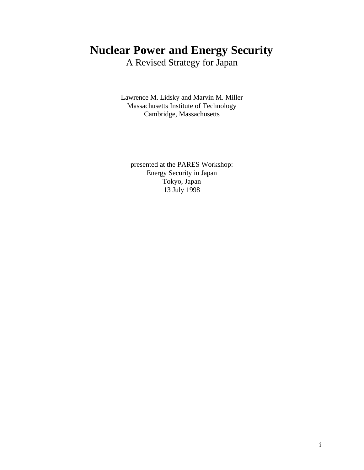# **Nuclear Power and Energy Security**

A Revised Strategy for Japan

Lawrence M. Lidsky and Marvin M. Miller Massachusetts Institute of Technology Cambridge, Massachusetts

presented at the PARES Workshop: Energy Security in Japan Tokyo, Japan 13 July 1998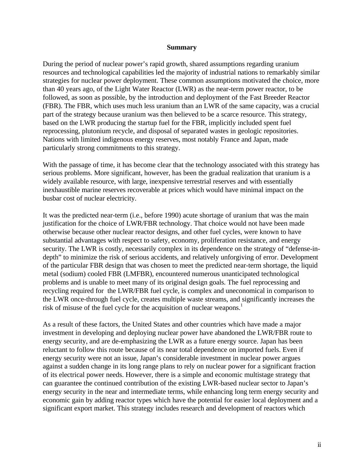#### **Summary**

During the period of nuclear power's rapid growth, shared assumptions regarding uranium resources and technological capabilities led the majority of industrial nations to remarkably similar strategies for nuclear power deployment. These common assumptions motivated the choice, more than 40 years ago, of the Light Water Reactor (LWR) as the near-term power reactor, to be followed, as soon as possible, by the introduction and deployment of the Fast Breeder Reactor (FBR). The FBR, which uses much less uranium than an LWR of the same capacity, was a crucial part of the strategy because uranium was then believed to be a scarce resource. This strategy, based on the LWR producing the startup fuel for the FBR, implicitly included spent fuel reprocessing, plutonium recycle, and disposal of separated wastes in geologic repositories. Nations with limited indigenous energy reserves, most notably France and Japan, made particularly strong commitments to this strategy.

With the passage of time, it has become clear that the technology associated with this strategy has serious problems. More significant, however, has been the gradual realization that uranium is a widely available resource, with large, inexpensive terrestrial reserves and with essentially inexhaustible marine reserves recoverable at prices which would have minimal impact on the busbar cost of nuclear electricity.

It was the predicted near-term (i.e., before 1990) acute shortage of uranium that was the main justification for the choice of LWR/FBR technology. That choice would not have been made otherwise because other nuclear reactor designs, and other fuel cycles, were known to have substantial advantages with respect to safety, economy, proliferation resistance, and energy security. The LWR is costly, necessarily complex in its dependence on the strategy of "defense-indepth" to minimize the risk of serious accidents, and relatively unforgiving of error. Development of the particular FBR design that was chosen to meet the predicted near-term shortage, the liquid metal (sodium) cooled FBR (LMFBR), encountered numerous unanticipated technological problems and is unable to meet many of its original design goals. The fuel reprocessing and recycling required for the LWR/FBR fuel cycle, is complex and uneconomical in comparison to the LWR once-through fuel cycle, creates multiple waste streams, and significantly increases the risk of misuse of the fuel cycle for the acquisition of nuclear weapons.<sup>1</sup>

As a result of these factors, the United States and other countries which have made a major investment in developing and deploying nuclear power have abandoned the LWR/FBR route to energy security, and are de-emphasizing the LWR as a future energy source. Japan has been reluctant to follow this route because of its near total dependence on imported fuels. Even if energy security were not an issue, Japan's considerable investment in nuclear power argues against a sudden change in its long range plans to rely on nuclear power for a significant fraction of its electrical power needs. However, there is a simple and economic multistage strategy that can guarantee the continued contribution of the existing LWR-based nuclear sector to Japan's energy security in the near and intermediate terms, while enhancing long term energy security and economic gain by adding reactor types which have the potential for easier local deployment and a significant export market. This strategy includes research and development of reactors which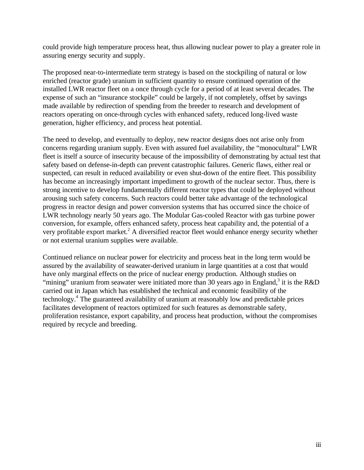could provide high temperature process heat, thus allowing nuclear power to play a greater role in assuring energy security and supply.

The proposed near-to-intermediate term strategy is based on the stockpiling of natural or low enriched (reactor grade) uranium in sufficient quantity to ensure continued operation of the installed LWR reactor fleet on a once through cycle for a period of at least several decades. The expense of such an "insurance stockpile" could be largely, if not completely, offset by savings made available by redirection of spending from the breeder to research and development of reactors operating on once-through cycles with enhanced safety, reduced long-lived waste generation, higher efficiency, and process heat potential.

The need to develop, and eventually to deploy, new reactor designs does not arise only from concerns regarding uranium supply. Even with assured fuel availability, the "monocultural" LWR fleet is itself a source of insecurity because of the impossibility of demonstrating by actual test that safety based on defense-in-depth can prevent catastrophic failures. Generic flaws, either real or suspected, can result in reduced availability or even shut-down of the entire fleet. This possibility has become an increasingly important impediment to growth of the nuclear sector. Thus, there is strong incentive to develop fundamentally different reactor types that could be deployed without arousing such safety concerns. Such reactors could better take advantage of the technological progress in reactor design and power conversion systems that has occurred since the choice of LWR technology nearly 50 years ago. The Modular Gas-cooled Reactor with gas turbine power conversion, for example, offers enhanced safety, process heat capability and, the potential of a very profitable export market.<sup>2</sup> A diversified reactor fleet would enhance energy security whether or not external uranium supplies were available.

Continued reliance on nuclear power for electricity and process heat in the long term would be assured by the availability of seawater-derived uranium in large quantities at a cost that would have only marginal effects on the price of nuclear energy production. Although studies on "mining" uranium from seawater were initiated more than 30 years ago in England,<sup>3</sup> it is the R&D carried out in Japan which has established the technical and economic feasibility of the technology.<sup>4</sup> The guaranteed availability of uranium at reasonably low and predictable prices facilitates development of reactors optimized for such features as demonstrable safety, proliferation resistance, export capability, and process heat production, without the compromises required by recycle and breeding.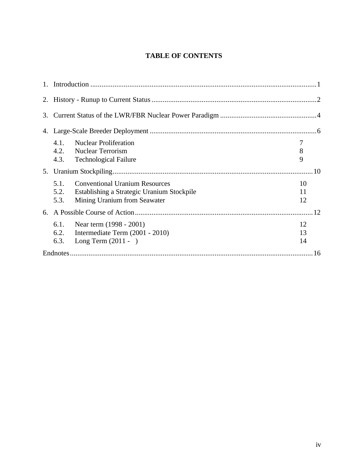# **TABLE OF CONTENTS**

|  | 4.1. | <b>Nuclear Proliferation</b>               | 7   |    |
|--|------|--------------------------------------------|-----|----|
|  | 4.2. | Nuclear Terrorism                          | 8   |    |
|  | 4.3. | <b>Technological Failure</b>               | 9   |    |
|  |      |                                            | .10 |    |
|  | 5.1. | <b>Conventional Uranium Resources</b>      | 10  |    |
|  | 5.2. | Establishing a Strategic Uranium Stockpile | 11  |    |
|  | 5.3. | Mining Uranium from Seawater               | 12  |    |
|  | 12   |                                            |     |    |
|  | 6.1. | Near term (1998 - 2001)                    | 12  |    |
|  | 6.2. | Intermediate Term (2001 - 2010)            | 13  |    |
|  | 6.3. | Long Term $(2011 - )$                      | 14  |    |
|  |      |                                            |     | 16 |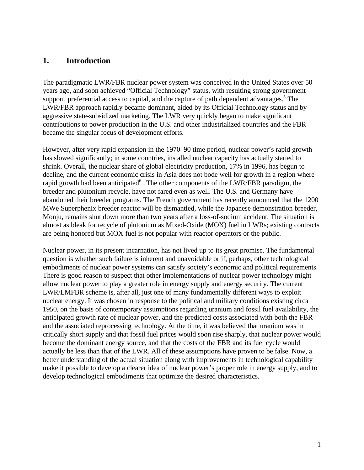#### **1. Introduction**

The paradigmatic LWR/FBR nuclear power system was conceived in the United States over 50 years ago, and soon achieved "Official Technology" status, with resulting strong government support, preferential access to capital, and the capture of path dependent advantages.<sup>5</sup> The LWR/FBR approach rapidly became dominant, aided by its Official Technology status and by aggressive state-subsidized marketing. The LWR very quickly began to make significant contributions to power production in the U.S. and other industrialized countries and the FBR became the singular focus of development efforts.

However, after very rapid expansion in the 1970–90 time period, nuclear power's rapid growth has slowed significantly; in some countries, installed nuclear capacity has actually started to shrink. Overall, the nuclear share of global electricity production, 17% in 1996, has begun to decline, and the current economic crisis in Asia does not bode well for growth in a region where rapid growth had been anticipated<sup>6</sup>. The other components of the LWR/FBR paradigm, the breeder and plutonium recycle, have not fared even as well. The U.S. and Germany have abandoned their breeder programs. The French government has recently announced that the 1200 MWe Superphenix breeder reactor will be dismantled, while the Japanese demonstration breeder, Monju, remains shut down more than two years after a loss-of-sodium accident. The situation is almost as bleak for recycle of plutonium as Mixed-Oxide (MOX) fuel in LWRs; existing contracts are being honored but MOX fuel is not popular with reactor operators or the public.

Nuclear power, in its present incarnation, has not lived up to its great promise. The fundamental question is whether such failure is inherent and unavoidable or if, perhaps, other technological embodiments of nuclear power systems can satisfy society's economic and political requirements. There is good reason to suspect that other implementations of nuclear power technology might allow nuclear power to play a greater role in energy supply and energy security. The current LWR/LMFBR scheme is, after all, just one of many fundamentally different ways to exploit nuclear energy. It was chosen in response to the political and military conditions existing circa 1950, on the basis of contemporary assumptions regarding uranium and fossil fuel availability, the anticipated growth rate of nuclear power, and the predicted costs associated with both the FBR and the associated reprocessing technology. At the time, it was believed that uranium was in critically short supply and that fossil fuel prices would soon rise sharply, that nuclear power would become the dominant energy source, and that the costs of the FBR and its fuel cycle would actually be less than that of the LWR. All of these assumptions have proven to be false. Now, a better understanding of the actual situation along with improvements in technological capability make it possible to develop a clearer idea of nuclear power's proper role in energy supply, and to develop technological embodiments that optimize the desired characteristics.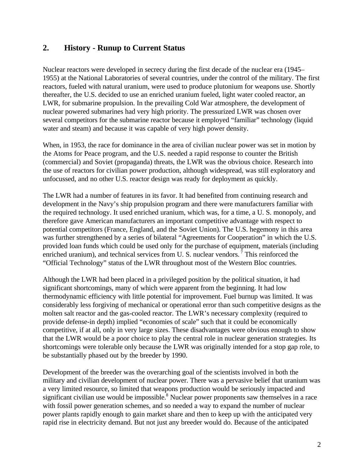# **2. History - Runup to Current Status**

Nuclear reactors were developed in secrecy during the first decade of the nuclear era (1945– 1955) at the National Laboratories of several countries, under the control of the military. The first reactors, fueled with natural uranium, were used to produce plutonium for weapons use. Shortly thereafter, the U.S. decided to use an enriched uranium fueled, light water cooled reactor, an LWR, for submarine propulsion. In the prevailing Cold War atmosphere, the development of nuclear powered submarines had very high priority. The pressurized LWR was chosen over several competitors for the submarine reactor because it employed "familiar" technology (liquid water and steam) and because it was capable of very high power density.

When, in 1953, the race for dominance in the area of civilian nuclear power was set in motion by the Atoms for Peace program, and the U.S. needed a rapid response to counter the British (commercial) and Soviet (propaganda) threats, the LWR was the obvious choice. Research into the use of reactors for civilian power production, although widespread, was still exploratory and unfocussed, and no other U.S. reactor design was ready for deployment as quickly.

The LWR had a number of features in its favor. It had benefited from continuing research and development in the Navy's ship propulsion program and there were manufacturers familiar with the required technology. It used enriched uranium, which was, for a time, a U. S. monopoly, and therefore gave American manufacturers an important competitive advantage with respect to potential competitors (France, England, and the Soviet Union). The U.S. hegemony in this area was further strengthened by a series of bilateral "Agreements for Cooperation" in which the U.S. provided loan funds which could be used only for the purchase of equipment, materials (including enriched uranium), and technical services from U.S. nuclear vendors. <sup>7</sup> This reinforced the "Official Technology" status of the LWR throughout most of the Western Bloc countries.

Although the LWR had been placed in a privileged position by the political situation, it had significant shortcomings, many of which were apparent from the beginning. It had low thermodynamic efficiency with little potential for improvement. Fuel burnup was limited. It was considerably less forgiving of mechanical or operational error than such competitive designs as the molten salt reactor and the gas-cooled reactor. The LWR's necessary complexity (required to provide defense-in depth) implied "economies of scale" such that it could be economically competitive, if at all, only in very large sizes. These disadvantages were obvious enough to show that the LWR would be a poor choice to play the central role in nuclear generation strategies. Its shortcomings were tolerable only because the LWR was originally intended for a stop gap role, to be substantially phased out by the breeder by 1990.

Development of the breeder was the overarching goal of the scientists involved in both the military and civilian development of nuclear power. There was a pervasive belief that uranium was a very limited resource, so limited that weapons production would be seriously impacted and significant civilian use would be impossible.<sup>8</sup> Nuclear power proponents saw themselves in a race with fossil power generation schemes, and so needed a way to expand the number of nuclear power plants rapidly enough to gain market share and then to keep up with the anticipated very rapid rise in electricity demand. But not just any breeder would do. Because of the anticipated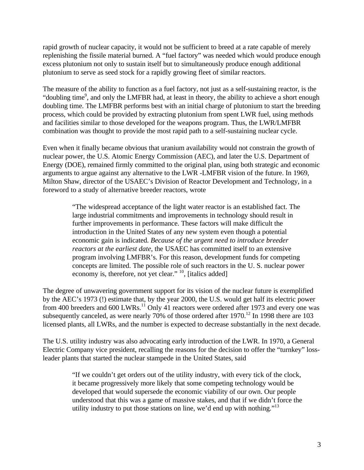rapid growth of nuclear capacity, it would not be sufficient to breed at a rate capable of merely replenishing the fissile material burned. A "fuel factory" was needed which would produce enough excess plutonium not only to sustain itself but to simultaneously produce enough additional plutonium to serve as seed stock for a rapidly growing fleet of similar reactors.

The measure of the ability to function as a fuel factory, not just as a self-sustaining reactor, is the "doubling time<sup>9</sup>, and only the LMFBR had, at least in theory, the ability to achieve a short enough doubling time. The LMFBR performs best with an initial charge of plutonium to start the breeding process, which could be provided by extracting plutonium from spent LWR fuel, using methods and facilities similar to those developed for the weapons program. Thus, the LWR/LMFBR combination was thought to provide the most rapid path to a self-sustaining nuclear cycle.

Even when it finally became obvious that uranium availability would not constrain the growth of nuclear power, the U.S. Atomic Energy Commission (AEC), and later the U.S. Department of Energy (DOE), remained firmly committed to the original plan, using both strategic and economic arguments to argue against any alternative to the LWR -LMFBR vision of the future. In 1969, Milton Shaw, director of the USAEC's Division of Reactor Development and Technology, in a foreword to a study of alternative breeder reactors, wrote

> "The widespread acceptance of the light water reactor is an established fact. The large industrial commitments and improvements in technology should result in further improvements in performance. These factors will make difficult the introduction in the United States of any new system even though a potential economic gain is indicated. *Because of the urgent need to introduce breeder reactors at the earliest date*, the USAEC has committed itself to an extensive program involving LMFBR's. For this reason, development funds for competing concepts are limited. The possible role of such reactors in the U. S. nuclear power economy is, therefore, not yet clear." <sup>10</sup>, [italics added]

The degree of unwavering government support for its vision of the nuclear future is exemplified by the AEC's 1973 (!) estimate that, by the year 2000, the U.S. would get half its electric power from 400 breeders and 600 LWRs.<sup>11</sup> Only 41 reactors were ordered after 1973 and every one was subsequently canceled, as were nearly 70% of those ordered after  $1970$ .<sup>12</sup> In 1998 there are 103 licensed plants, all LWRs, and the number is expected to decrease substantially in the next decade.

The U.S. utility industry was also advocating early introduction of the LWR. In 1970, a General Electric Company vice president, recalling the reasons for the decision to offer the "turnkey" lossleader plants that started the nuclear stampede in the United States, said

> "If we couldn't get orders out of the utility industry, with every tick of the clock, it became progressively more likely that some competing technology would be developed that would supersede the economic viability of our own. Our people understood that this was a game of massive stakes, and that if we didn't force the utility industry to put those stations on line, we'd end up with nothing."<sup>13</sup>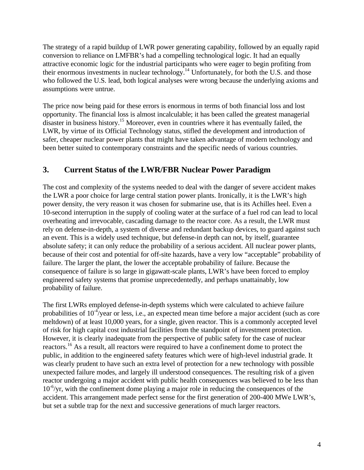The strategy of a rapid buildup of LWR power generating capability, followed by an equally rapid conversion to reliance on LMFBR's had a compelling technological logic. It had an equally attractive economic logic for the industrial participants who were eager to begin profiting from their enormous investments in nuclear technology.<sup>14</sup> Unfortunately, for both the U.S. and those who followed the U.S. lead, both logical analyses were wrong because the underlying axioms and assumptions were untrue.

The price now being paid for these errors is enormous in terms of both financial loss and lost opportunity. The financial loss is almost incalculable; it has been called the greatest managerial disaster in business history.<sup>15</sup> Moreover, even in countries where it has eventually failed, the LWR, by virtue of its Official Technology status, stifled the development and introduction of safer, cheaper nuclear power plants that might have taken advantage of modern technology and been better suited to contemporary constraints and the specific needs of various countries.

# **3. Current Status of the LWR/FBR Nuclear Power Paradigm**

The cost and complexity of the systems needed to deal with the danger of severe accident makes the LWR a poor choice for large central station power plants. Ironically, it is the LWR's high power density, the very reason it was chosen for submarine use, that is its Achilles heel. Even a 10-second interruption in the supply of cooling water at the surface of a fuel rod can lead to local overheating and irrevocable, cascading damage to the reactor core. As a result, the LWR must rely on defense-in-depth, a system of diverse and redundant backup devices, to guard against such an event. This is a widely used technique, but defense-in depth can not, by itself, guarantee absolute safety; it can only reduce the probability of a serious accident. All nuclear power plants, because of their cost and potential for off-site hazards, have a very low "acceptable" probability of failure. The larger the plant, the lower the acceptable probability of failure. Because the consequence of failure is so large in gigawatt-scale plants, LWR's have been forced to employ engineered safety systems that promise unprecedentedly, and perhaps unattainably, low probability of failure.

The first LWRs employed defense-in-depth systems which were calculated to achieve failure probabilities of  $10^{-4}$ /year or less, i.e., an expected mean time before a major accident (such as core meltdown) of at least 10,000 years, for a single, given reactor. This is a commonly accepted level of risk for high capital cost industrial facilities from the standpoint of investment protection. However, it is clearly inadequate from the perspective of public safety for the case of nuclear reactors.<sup>16</sup> As a result, all reactors were required to have a confinement dome to protect the public, in addition to the engineered safety features which were of high-level industrial grade. It was clearly prudent to have such an extra level of protection for a new technology with possible unexpected failure modes, and largely ill understood consequences. The resulting risk of a given reactor undergoing a major accident with public health consequences was believed to be less than  $10^{-6}/yr$ , with the confinement dome playing a major role in reducing the consequences of the accident. This arrangement made perfect sense for the first generation of 200-400 MWe LWR's, but set a subtle trap for the next and successive generations of much larger reactors.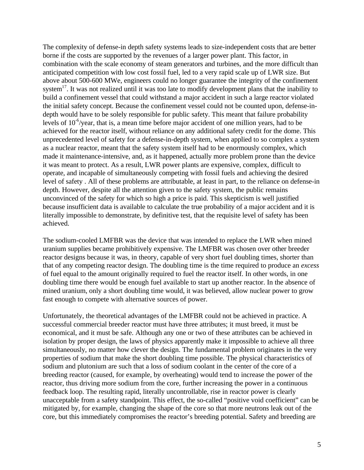The complexity of defense-in depth safety systems leads to size-independent costs that are better borne if the costs are supported by the revenues of a larger power plant. This factor, in combination with the scale economy of steam generators and turbines, and the more difficult than anticipated competition with low cost fossil fuel, led to a very rapid scale up of LWR size. But above about 500-600 MWe, engineers could no longer guarantee the integrity of the confinement system<sup>17</sup>. It was not realized until it was too late to modify development plans that the inability to build a confinement vessel that could withstand a major accident in such a large reactor violated the initial safety concept. Because the confinement vessel could not be counted upon, defense-indepth would have to be solely responsible for public safety. This meant that failure probability levels of  $10^{-6}$ /year, that is, a mean time before major accident of one million years, had to be achieved for the reactor itself, without reliance on any additional safety credit for the dome. This unprecedented level of safety for a defense-in-depth system, when applied to so complex a system as a nuclear reactor, meant that the safety system itself had to be enormously complex, which made it maintenance-intensive, and, as it happened, actually more problem prone than the device it was meant to protect. As a result, LWR power plants are expensive, complex, difficult to operate, and incapable of simultaneously competing with fossil fuels and achieving the desired level of safety . All of these problems are attributable, at least in part, to the reliance on defense-in depth. However, despite all the attention given to the safety system, the public remains unconvinced of the safety for which so high a price is paid. This skepticism is well justified because insufficient data is available to calculate the true probability of a major accident and it is literally impossible to demonstrate, by definitive test, that the requisite level of safety has been achieved.

The sodium-cooled LMFBR was the device that was intended to replace the LWR when mined uranium supplies became prohibitively expensive. The LMFBR was chosen over other breeder reactor designs because it was, in theory, capable of very short fuel doubling times, shorter than that of any competing reactor design. The doubling time is the time required to produce an *excess* of fuel equal to the amount originally required to fuel the reactor itself. In other words, in one doubling time there would be enough fuel available to start up another reactor. In the absence of mined uranium, only a short doubling time would, it was believed, allow nuclear power to grow fast enough to compete with alternative sources of power.

Unfortunately, the theoretical advantages of the LMFBR could not be achieved in practice. A successful commercial breeder reactor must have three attributes; it must breed, it must be economical, and it must be safe. Although any one or two of these attributes can be achieved in isolation by proper design, the laws of physics apparently make it impossible to achieve all three simultaneously, no matter how clever the design. The fundamental problem originates in the very properties of sodium that make the short doubling time possible. The physical characteristics of sodium and plutonium are such that a loss of sodium coolant in the center of the core of a breeding reactor (caused, for example, by overheating) would tend to increase the power of the reactor, thus driving more sodium from the core, further increasing the power in a continuous feedback loop. The resulting rapid, literally uncontrollable, rise in reactor power is clearly unacceptable from a safety standpoint. This effect, the so-called "positive void coefficient" can be mitigated by, for example, changing the shape of the core so that more neutrons leak out of the core, but this immediately compromises the reactor's breeding potential. Safety and breeding are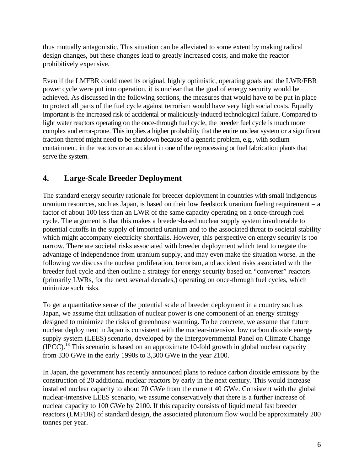thus mutually antagonistic. This situation can be alleviated to some extent by making radical design changes, but these changes lead to greatly increased costs, and make the reactor prohibitively expensive.

Even if the LMFBR could meet its original, highly optimistic, operating goals and the LWR/FBR power cycle were put into operation, it is unclear that the goal of energy security would be achieved. As discussed in the following sections, the measures that would have to be put in place to protect all parts of the fuel cycle against terrorism would have very high social costs. Equally important is the increased risk of accidental or maliciously-induced technological failure. Compared to light water reactors operating on the once-through fuel cycle, the breeder fuel cycle is much more complex and error-prone. This implies a higher probability that the entire nuclear system or a significant fraction thereof might need to be shutdown because of a generic problem, e.g., with sodium containment, in the reactors or an accident in one of the reprocessing or fuel fabrication plants that serve the system.

# **4. Large-Scale Breeder Deployment**

The standard energy security rationale for breeder deployment in countries with small indigenous uranium resources, such as Japan, is based on their low feedstock uranium fueling requirement  $- a$ factor of about 100 less than an LWR of the same capacity operating on a once-through fuel cycle. The argument is that this makes a breeder-based nuclear supply system invulnerable to potential cutoffs in the supply of imported uranium and to the associated threat to societal stability which might accompany electricity shortfalls. However, this perspective on energy security is too narrow. There are societal risks associated with breeder deployment which tend to negate the advantage of independence from uranium supply, and may even make the situation worse. In the following we discuss the nuclear proliferation, terrorism, and accident risks associated with the breeder fuel cycle and then outline a strategy for energy security based on "converter" reactors (primarily LWRs, for the next several decades,) operating on once-through fuel cycles, which minimize such risks.

To get a quantitative sense of the potential scale of breeder deployment in a country such as Japan, we assume that utilization of nuclear power is one component of an energy strategy designed to minimize the risks of greenhouse warming. To be concrete, we assume that future nuclear deployment in Japan is consistent with the nuclear-intensive, low carbon dioxide energy supply system (LEES) scenario, developed by the Intergovernmental Panel on Climate Change  $(IPC)$ <sup>18</sup>. This scenario is based on an approximate 10-fold growth in global nuclear capacity from 330 GWe in the early 1990s to 3,300 GWe in the year 2100.

In Japan, the government has recently announced plans to reduce carbon dioxide emissions by the construction of 20 additional nuclear reactors by early in the next century. This would increase installed nuclear capacity to about 70 GWe from the current 40 GWe. Consistent with the global nuclear-intensive LEES scenario, we assume conservatively that there is a further increase of nuclear capacity to 100 GWe by 2100. If this capacity consists of liquid metal fast breeder reactors (LMFBR) of standard design, the associated plutonium flow would be approximately 200 tonnes per year.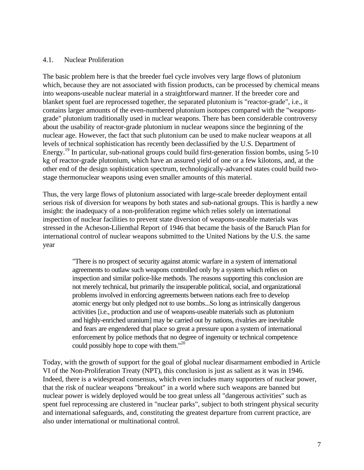#### 4.1. Nuclear Proliferation

The basic problem here is that the breeder fuel cycle involves very large flows of plutonium which, because they are not associated with fission products, can be processed by chemical means into weapons-useable nuclear material in a straightforward manner. If the breeder core and blanket spent fuel are reprocessed together, the separated plutonium is "reactor-grade", i.e., it contains larger amounts of the even-numbered plutonium isotopes compared with the "weaponsgrade" plutonium traditionally used in nuclear weapons. There has been considerable controversy about the usability of reactor-grade plutonium in nuclear weapons since the beginning of the nuclear age. However, the fact that such plutonium can be used to make nuclear weapons at all levels of technical sophistication has recently been declassified by the U.S. Department of Energy.<sup>19</sup> In particular, sub-national groups could build first-generation fission bombs, using 5-10 kg of reactor-grade plutonium, which have an assured yield of one or a few kilotons, and, at the other end of the design sophistication spectrum, technologically-advanced states could build twostage thermonuclear weapons using even smaller amounts of this material.

Thus, the very large flows of plutonium associated with large-scale breeder deployment entail serious risk of diversion for weapons by both states and sub-national groups. This is hardly a new insight: the inadequacy of a non-proliferation regime which relies solely on international inspection of nuclear facilities to prevent state diversion of weapons-useable materials was stressed in the Acheson-Lilienthal Report of 1946 that became the basis of the Baruch Plan for international control of nuclear weapons submitted to the United Nations by the U.S. the same year

> "There is no prospect of security against atomic warfare in a system of international agreements to outlaw such weapons controlled only by a system which relies on inspection and similar police-like methods. The reasons supporting this conclusion are not merely technical, but primarily the insuperable political, social, and organizational problems involved in enforcing agreements between nations each free to develop atomic energy but only pledged not to use bombs...So long as intrinsically dangerous activities [i.e., production and use of weapons-useable materials such as plutonium and highly-enriched uranium] may be carried out by nations, rivalries are inevitable and fears are engendered that place so great a pressure upon a system of international enforcement by police methods that no degree of ingenuity or technical competence could possibly hope to cope with them."<sup>20</sup>

Today, with the growth of support for the goal of global nuclear disarmament embodied in Article VI of the Non-Proliferation Treaty (NPT), this conclusion is just as salient as it was in 1946. Indeed, there is a widespread consensus, which even includes many supporters of nuclear power, that the risk of nuclear weapons "breakout" in a world where such weapons are banned but nuclear power is widely deployed would be too great unless all "dangerous activities" such as spent fuel reprocessing are clustered in "nuclear parks", subject to both stringent physical security and international safeguards, and, constituting the greatest departure from current practice, are also under international or multinational control.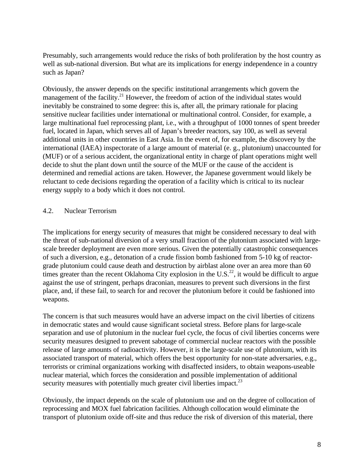Presumably, such arrangements would reduce the risks of both proliferation by the host country as well as sub-national diversion. But what are its implications for energy independence in a country such as Japan?

Obviously, the answer depends on the specific institutional arrangements which govern the management of the facility.<sup>21</sup> However, the freedom of action of the individual states would inevitably be constrained to some degree: this is, after all, the primary rationale for placing sensitive nuclear facilities under international or multinational control. Consider, for example, a large multinational fuel reprocessing plant, i.e., with a throughput of 1000 tonnes of spent breeder fuel, located in Japan, which serves all of Japan's breeder reactors, say 100, as well as several additional units in other countries in East Asia. In the event of, for example, the discovery by the international (IAEA) inspectorate of a large amount of material (e. g., plutonium) unaccounted for (MUF) or of a serious accident, the organizational entity in charge of plant operations might well decide to shut the plant down until the source of the MUF or the cause of the accident is determined and remedial actions are taken. However, the Japanese government would likely be reluctant to cede decisions regarding the operation of a facility which is critical to its nuclear energy supply to a body which it does not control.

#### 4.2. Nuclear Terrorism

The implications for energy security of measures that might be considered necessary to deal with the threat of sub-national diversion of a very small fraction of the plutonium associated with largescale breeder deployment are even more serious. Given the potentially catastrophic consequences of such a diversion, e.g., detonation of a crude fission bomb fashioned from 5-10 kg of reactorgrade plutonium could cause death and destruction by airblast alone over an area more than 60 times greater than the recent Oklahoma City explosion in the U.S.<sup>22</sup>, it would be difficult to argue against the use of stringent, perhaps draconian, measures to prevent such diversions in the first place, and, if these fail, to search for and recover the plutonium before it could be fashioned into weapons.

The concern is that such measures would have an adverse impact on the civil liberties of citizens in democratic states and would cause significant societal stress. Before plans for large-scale separation and use of plutonium in the nuclear fuel cycle, the focus of civil liberties concerns were security measures designed to prevent sabotage of commercial nuclear reactors with the possible release of large amounts of radioactivity. However, it is the large-scale use of plutonium, with its associated transport of material, which offers the best opportunity for non-state adversaries, e.g., terrorists or criminal organizations working with disaffected insiders, to obtain weapons-useable nuclear material, which forces the consideration and possible implementation of additional security measures with potentially much greater civil liberties impact.<sup>23</sup>

Obviously, the impact depends on the scale of plutonium use and on the degree of collocation of reprocessing and MOX fuel fabrication facilities. Although collocation would eliminate the transport of plutonium oxide off-site and thus reduce the risk of diversion of this material, there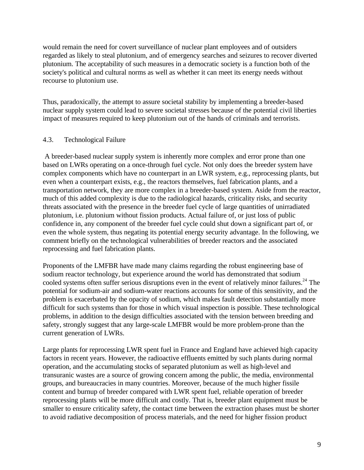would remain the need for covert surveillance of nuclear plant employees and of outsiders regarded as likely to steal plutonium, and of emergency searches and seizures to recover diverted plutonium. The acceptability of such measures in a democratic society is a function both of the society's political and cultural norms as well as whether it can meet its energy needs without recourse to plutonium use.

Thus, paradoxically, the attempt to assure societal stability by implementing a breeder-based nuclear supply system could lead to severe societal stresses because of the potential civil liberties impact of measures required to keep plutonium out of the hands of criminals and terrorists.

#### 4.3. Technological Failure

 A breeder-based nuclear supply system is inherently more complex and error prone than one based on LWRs operating on a once-through fuel cycle. Not only does the breeder system have complex components which have no counterpart in an LWR system, e.g., reprocessing plants, but even when a counterpart exists, e.g., the reactors themselves, fuel fabrication plants, and a transportation network, they are more complex in a breeder-based system. Aside from the reactor, much of this added complexity is due to the radiological hazards, criticality risks, and security threats associated with the presence in the breeder fuel cycle of large quantities of unirradiated plutonium, i.e. plutonium without fission products. Actual failure of, or just loss of public confidence in, any component of the breeder fuel cycle could shut down a significant part of, or even the whole system, thus negating its potential energy security advantage. In the following, we comment briefly on the technological vulnerabilities of breeder reactors and the associated reprocessing and fuel fabrication plants.

Proponents of the LMFBR have made many claims regarding the robust engineering base of sodium reactor technology, but experience around the world has demonstrated that sodium cooled systems often suffer serious disruptions even in the event of relatively minor failures.<sup>24</sup> The potential for sodium-air and sodium-water reactions accounts for some of this sensitivity, and the problem is exacerbated by the opacity of sodium, which makes fault detection substantially more difficult for such systems than for those in which visual inspection is possible. These technological problems, in addition to the design difficulties associated with the tension between breeding and safety, strongly suggest that any large-scale LMFBR would be more problem-prone than the current generation of LWRs.

Large plants for reprocessing LWR spent fuel in France and England have achieved high capacity factors in recent years. However, the radioactive effluents emitted by such plants during normal operation, and the accumulating stocks of separated plutonium as well as high-level and transuranic wastes are a source of growing concern among the public, the media, environmental groups, and bureaucracies in many countries. Moreover, because of the much higher fissile content and burnup of breeder compared with LWR spent fuel, reliable operation of breeder reprocessing plants will be more difficult and costly. That is, breeder plant equipment must be smaller to ensure criticality safety, the contact time between the extraction phases must be shorter to avoid radiative decomposition of process materials, and the need for higher fission product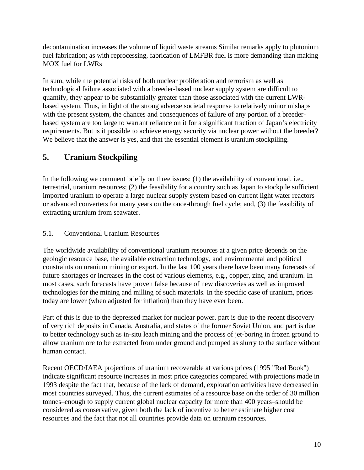decontamination increases the volume of liquid waste streams Similar remarks apply to plutonium fuel fabrication; as with reprocessing, fabrication of LMFBR fuel is more demanding than making MOX fuel for LWRs

In sum, while the potential risks of both nuclear proliferation and terrorism as well as technological failure associated with a breeder-based nuclear supply system are difficult to quantify, they appear to be substantially greater than those associated with the current LWRbased system. Thus, in light of the strong adverse societal response to relatively minor mishaps with the present system, the chances and consequences of failure of any portion of a breederbased system are too large to warrant reliance on it for a significant fraction of Japan's electricity requirements. But is it possible to achieve energy security via nuclear power without the breeder? We believe that the answer is yes, and that the essential element is uranium stockpiling.

# **5. Uranium Stockpiling**

In the following we comment briefly on three issues: (1) the availability of conventional, i.e., terrestrial, uranium resources; (2) the feasibility for a country such as Japan to stockpile sufficient imported uranium to operate a large nuclear supply system based on current light water reactors or advanced converters for many years on the once-through fuel cycle; and, (3) the feasibility of extracting uranium from seawater.

# 5.1. Conventional Uranium Resources

The worldwide availability of conventional uranium resources at a given price depends on the geologic resource base, the available extraction technology, and environmental and political constraints on uranium mining or export. In the last 100 years there have been many forecasts of future shortages or increases in the cost of various elements, e.g., copper, zinc, and uranium. In most cases, such forecasts have proven false because of new discoveries as well as improved technologies for the mining and milling of such materials. In the specific case of uranium, prices today are lower (when adjusted for inflation) than they have ever been.

Part of this is due to the depressed market for nuclear power, part is due to the recent discovery of very rich deposits in Canada, Australia, and states of the former Soviet Union, and part is due to better technology such as in-situ leach mining and the process of jet-boring in frozen ground to allow uranium ore to be extracted from under ground and pumped as slurry to the surface without human contact.

Recent OECD/IAEA projections of uranium recoverable at various prices (1995 "Red Book") indicate significant resource increases in most price categories compared with projections made in 1993 despite the fact that, because of the lack of demand, exploration activities have decreased in most countries surveyed. Thus, the current estimates of a resource base on the order of 30 million tonnes–enough to supply current global nuclear capacity for more than 400 years–should be considered as conservative, given both the lack of incentive to better estimate higher cost resources and the fact that not all countries provide data on uranium resources.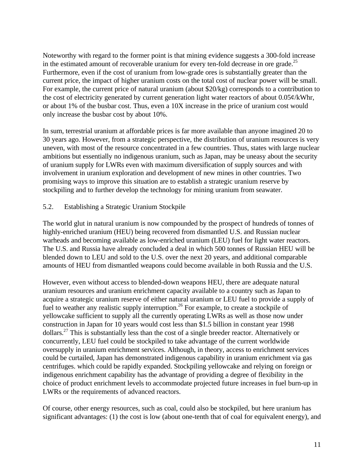Noteworthy with regard to the former point is that mining evidence suggests a 300-fold increase in the estimated amount of recoverable uranium for every ten-fold decrease in ore grade.<sup>25</sup> Furthermore, even if the cost of uranium from low-grade ores is substantially greater than the current price, the impact of higher uranium costs on the total cost of nuclear power will be small. For example, the current price of natural uranium (about \$20/kg) corresponds to a contribution to the cost of electricity generated by current generation light water reactors of about 0.05¢/kWhr, or about 1% of the busbar cost. Thus, even a 10X increase in the price of uranium cost would only increase the busbar cost by about 10%.

In sum, terrestrial uranium at affordable prices is far more available than anyone imagined 20 to 30 years ago. However, from a strategic perspective, the distribution of uranium resources is very uneven, with most of the resource concentrated in a few countries. Thus, states with large nuclear ambitions but essentially no indigenous uranium, such as Japan, may be uneasy about the security of uranium supply for LWRs even with maximum diversification of supply sources and with involvement in uranium exploration and development of new mines in other countries. Two promising ways to improve this situation are to establish a strategic uranium reserve by stockpiling and to further develop the technology for mining uranium from seawater.

#### 5.2. Establishing a Strategic Uranium Stockpile

The world glut in natural uranium is now compounded by the prospect of hundreds of tonnes of highly-enriched uranium (HEU) being recovered from dismantled U.S. and Russian nuclear warheads and becoming available as low-enriched uranium (LEU) fuel for light water reactors. The U.S. and Russia have already concluded a deal in which 500 tonnes of Russian HEU will be blended down to LEU and sold to the U.S. over the next 20 years, and additional comparable amounts of HEU from dismantled weapons could become available in both Russia and the U.S.

However, even without access to blended-down weapons HEU, there are adequate natural uranium resources and uranium enrichment capacity available to a country such as Japan to acquire a strategic uranium reserve of either natural uranium or LEU fuel to provide a supply of fuel to weather any realistic supply interruption.<sup>26</sup> For example, to create a stockpile of yellowcake sufficient to supply all the currently operating LWRs as well as those now under construction in Japan for 10 years would cost less than \$1.5 billion in constant year 1998 dollars.<sup>27</sup> This is substantially less than the cost of a single breeder reactor. Alternatively or concurrently, LEU fuel could be stockpiled to take advantage of the current worldwide oversupply in uranium enrichment services. Although, in theory, access to enrichment services could be curtailed, Japan has demonstrated indigenous capability in uranium enrichment via gas centrifuges. which could be rapidly expanded. Stockpiling yellowcake and relying on foreign or indigenous enrichment capability has the advantage of providing a degree of flexibility in the choice of product enrichment levels to accommodate projected future increases in fuel burn-up in LWRs or the requirements of advanced reactors.

Of course, other energy resources, such as coal, could also be stockpiled, but here uranium has significant advantages: (1) the cost is low (about one-tenth that of coal for equivalent energy), and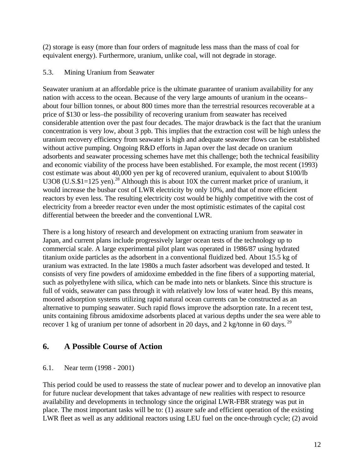(2) storage is easy (more than four orders of magnitude less mass than the mass of coal for equivalent energy). Furthermore, uranium, unlike coal, will not degrade in storage.

#### 5.3. Mining Uranium from Seawater

Seawater uranium at an affordable price is the ultimate guarantee of uranium availability for any nation with access to the ocean. Because of the very large amounts of uranium in the oceans– about four billion tonnes, or about 800 times more than the terrestrial resources recoverable at a price of \$130 or less–the possibility of recovering uranium from seawater has received considerable attention over the past four decades. The major drawback is the fact that the uranium concentration is very low, about 3 ppb. This implies that the extraction cost will be high unless the uranium recovery efficiency from seawater is high and adequate seawater flows can be established without active pumping. Ongoing R&D efforts in Japan over the last decade on uranium adsorbents and seawater processing schemes have met this challenge; both the technical feasibility and economic viability of the process have been established. For example, the most recent (1993) cost estimate was about 40,000 yen per kg of recovered uranium, equivalent to about \$100/lb U3O8 (U.S. \$1=125 yen).<sup>28</sup> Although this is about  $10X$  the current market price of uranium, it would increase the busbar cost of LWR electricity by only 10%, and that of more efficient reactors by even less. The resulting electricity cost would be highly competitive with the cost of electricity from a breeder reactor even under the most optimistic estimates of the capital cost differential between the breeder and the conventional LWR.

There is a long history of research and development on extracting uranium from seawater in Japan, and current plans include progressively larger ocean tests of the technology up to commercial scale. A large experimental pilot plant was operated in 1986/87 using hydrated titanium oxide particles as the adsorbent in a conventional fluidized bed. About 15.5 kg of uranium was extracted. In the late 1980s a much faster adsorbent was developed and tested. It consists of very fine powders of amidoxime embedded in the fine fibers of a supporting material, such as polyethylene with silica, which can be made into nets or blankets. Since this structure is full of voids, seawater can pass through it with relatively low loss of water head. By this means, moored adsorption systems utilizing rapid natural ocean currents can be constructed as an alternative to pumping seawater. Such rapid flows improve the adsorption rate. In a recent test, units containing fibrous amidoxime adsorbents placed at various depths under the sea were able to recover 1 kg of uranium per tonne of adsorbent in 20 days, and 2 kg/tonne in 60 days.<sup>29</sup>

# **6. A Possible Course of Action**

### 6.1. Near term (1998 - 2001)

This period could be used to reassess the state of nuclear power and to develop an innovative plan for future nuclear development that takes advantage of new realities with respect to resource availability and developments in technology since the original LWR-FBR strategy was put in place. The most important tasks will be to: (1) assure safe and efficient operation of the existing LWR fleet as well as any additional reactors using LEU fuel on the once-through cycle; (2) avoid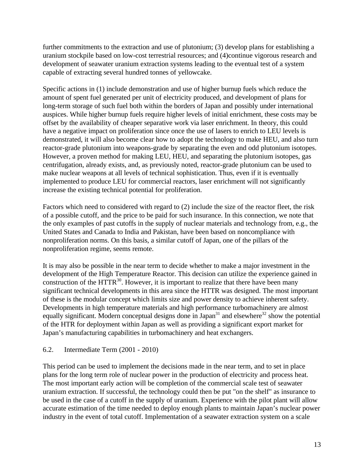further commitments to the extraction and use of plutonium; (3) develop plans for establishing a uranium stockpile based on low-cost terrestrial resources; and (4)continue vigorous research and development of seawater uranium extraction systems leading to the eventual test of a system capable of extracting several hundred tonnes of yellowcake.

Specific actions in (1) include demonstration and use of higher burnup fuels which reduce the amount of spent fuel generated per unit of electricity produced, and development of plans for long-term storage of such fuel both within the borders of Japan and possibly under international auspices. While higher burnup fuels require higher levels of initial enrichment, these costs may be offset by the availability of cheaper separative work via laser enrichment. In theory, this could have a negative impact on proliferation since once the use of lasers to enrich to LEU levels is demonstrated, it will also become clear how to adopt the technology to make HEU, and also turn reactor-grade plutonium into weapons-grade by separating the even and odd plutonium isotopes. However, a proven method for making LEU, HEU, and separating the plutonium isotopes, gas centrifugation, already exists, and, as previously noted, reactor-grade plutonium can be used to make nuclear weapons at all levels of technical sophistication. Thus, even if it is eventually implemented to produce LEU for commercial reactors, laser enrichment will not significantly increase the existing technical potential for proliferation.

Factors which need to considered with regard to (2) include the size of the reactor fleet, the risk of a possible cutoff, and the price to be paid for such insurance. In this connection, we note that the only examples of past cutoffs in the supply of nuclear materials and technology from, e.g., the United States and Canada to India and Pakistan, have been based on noncompliance with nonproliferation norms. On this basis, a similar cutoff of Japan, one of the pillars of the nonproliferation regime, seems remote.

It is may also be possible in the near term to decide whether to make a major investment in the development of the High Temperature Reactor. This decision can utilize the experience gained in construction of the HTTR<sup>30</sup>. However, it is important to realize that there have been many significant technical developments in this area since the HTTR was designed. The most important of these is the modular concept which limits size and power density to achieve inherent safety. Developments in high temperature materials and high performance turbomachinery are almost equally significant. Modern conceptual designs done in Japan<sup>31</sup> and elsewhere<sup>32</sup> show the potential of the HTR for deployment within Japan as well as providing a significant export market for Japan's manufacturing capabilities in turbomachinery and heat exchangers.

6.2. Intermediate Term (2001 - 2010)

This period can be used to implement the decisions made in the near term, and to set in place plans for the long term role of nuclear power in the production of electricity and process heat. The most important early action will be completion of the commercial scale test of seawater uranium extraction. If successful, the technology could then be put "on the shelf" as insurance to be used in the case of a cutoff in the supply of uranium. Experience with the pilot plant will allow accurate estimation of the time needed to deploy enough plants to maintain Japan's nuclear power industry in the event of total cutoff. Implementation of a seawater extraction system on a scale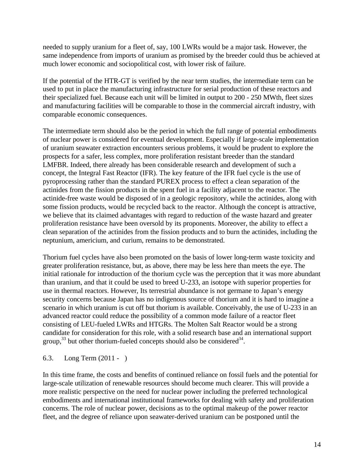needed to supply uranium for a fleet of, say, 100 LWRs would be a major task. However, the same independence from imports of uranium as promised by the breeder could thus be achieved at much lower economic and sociopolitical cost, with lower risk of failure.

If the potential of the HTR-GT is verified by the near term studies, the intermediate term can be used to put in place the manufacturing infrastructure for serial production of these reactors and their specialized fuel. Because each unit will be limited in output to 200 - 250 MWth, fleet sizes and manufacturing facilities will be comparable to those in the commercial aircraft industry, with comparable economic consequences.

The intermediate term should also be the period in which the full range of potential embodiments of nuclear power is considered for eventual development. Especially if large-scale implementation of uranium seawater extraction encounters serious problems, it would be prudent to explore the prospects for a safer, less complex, more proliferation resistant breeder than the standard LMFBR. Indeed, there already has been considerable research and development of such a concept, the Integral Fast Reactor (IFR). The key feature of the IFR fuel cycle is the use of pyroprocessing rather than the standard PUREX process to effect a clean separation of the actinides from the fission products in the spent fuel in a facility adjacent to the reactor. The actinide-free waste would be disposed of in a geologic repository, while the actinides, along with some fission products, would be recycled back to the reactor. Although the concept is attractive, we believe that its claimed advantages with regard to reduction of the waste hazard and greater proliferation resistance have been oversold by its proponents. Moreover, the ability to effect a clean separation of the actinides from the fission products and to burn the actinides, including the neptunium, americium, and curium, remains to be demonstrated.

Thorium fuel cycles have also been promoted on the basis of lower long-term waste toxicity and greater proliferation resistance, but, as above, there may be less here than meets the eye. The initial rationale for introduction of the thorium cycle was the perception that it was more abundant than uranium, and that it could be used to breed U-233, an isotope with superior properties for use in thermal reactors. However, Its terrestrial abundance is not germane to Japan's energy security concerns because Japan has no indigenous source of thorium and it is hard to imagine a scenario in which uranium is cut off but thorium is available. Conceivably, the use of U-233 in an advanced reactor could reduce the possibility of a common mode failure of a reactor fleet consisting of LEU-fueled LWRs and HTGRs. The Molten Salt Reactor would be a strong candidate for consideration for this role, with a solid research base and an international support group,  $33$  but other thorium-fueled concepts should also be considered  $34$ .

6.3. Long Term (2011 - )

In this time frame, the costs and benefits of continued reliance on fossil fuels and the potential for large-scale utilization of renewable resources should become much clearer. This will provide a more realistic perspective on the need for nuclear power including the preferred technological embodiments and international institutional frameworks for dealing with safety and proliferation concerns. The role of nuclear power, decisions as to the optimal makeup of the power reactor fleet, and the degree of reliance upon seawater-derived uranium can be postponed until the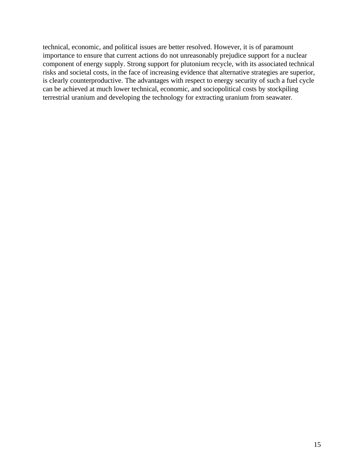technical, economic, and political issues are better resolved. However, it is of paramount importance to ensure that current actions do not unreasonably prejudice support for a nuclear component of energy supply. Strong support for plutonium recycle, with its associated technical risks and societal costs, in the face of increasing evidence that alternative strategies are superior, is clearly counterproductive. The advantages with respect to energy security of such a fuel cycle can be achieved at much lower technical, economic, and sociopolitical costs by stockpiling terrestrial uranium and developing the technology for extracting uranium from seawater.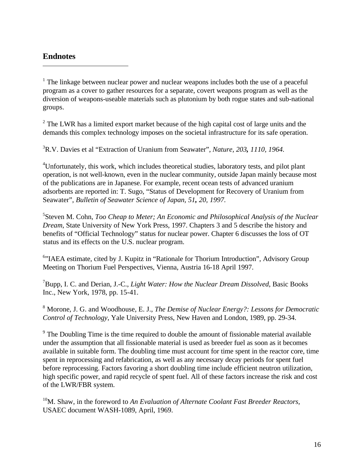# **Endnotes**

 $\overline{a}$ 

<sup>1</sup> The linkage between nuclear power and nuclear weapons includes both the use of a peaceful program as a cover to gather resources for a separate, covert weapons program as well as the diversion of weapons-useable materials such as plutonium by both rogue states and sub-national groups.

 $2^2$  The LWR has a limited export market because of the high capital cost of large units and the demands this complex technology imposes on the societal infrastructure for its safe operation.

<sup>3</sup>R.V. Davies et al "Extraction of Uranium from Seawater", *Nature, 203, 1110, 1964.*

<sup>4</sup>Unfortunately, this work, which includes theoretical studies, laboratory tests, and pilot plant operation, is not well-known, even in the nuclear community, outside Japan mainly because most of the publications are in Japanese. For example, recent ocean tests of advanced uranium adsorbents are reported in: T. Sugo, "Status of Development for Recovery of Uranium from Seawater", *Bulletin of Seawater Science of Japan, 51, 20, 1997.*

5 Steven M. Cohn, *Too Cheap to Meter; An Economic and Philosophical Analysis of the Nuclear Dream*, State University of New York Press, 1997. Chapters 3 and 5 describe the history and benefits of "Official Technology" status for nuclear power. Chapter 6 discusses the loss of OT status and its effects on the U.S. nuclear program.

<sup>6</sup>"IAEA estimate, cited by J. Kupitz in "Rationale for Thorium Introduction", Advisory Group Meeting on Thorium Fuel Perspectives, Vienna, Austria 16-18 April 1997.

<sup>7</sup>Bupp, I. C. and Derian, J.-C., *Light Water: How the Nuclear Dream Dissolved*, Basic Books Inc., New York, 1978, pp. 15-41.

8 Morone, J. G. and Woodhouse, E. J., *The Demise of Nuclear Energy?: Lessons for Democratic Control of Technology*, Yale University Press, New Haven and London, 1989, pp. 29-34.

<sup>9</sup> The Doubling Time is the time required to double the amount of fissionable material available under the assumption that all fissionable material is used as breeder fuel as soon as it becomes available in suitable form. The doubling time must account for time spent in the reactor core, time spent in reprocessing and refabrication, as well as any necessary decay periods for spent fuel before reprocessing. Factors favoring a short doubling time include efficient neutron utilization, high specific power, and rapid recycle of spent fuel. All of these factors increase the risk and cost of the LWR/FBR system.

<sup>10</sup>M. Shaw, in the foreword to *An Evaluation of Alternate Coolant Fast Breeder Reactors*, USAEC document WASH-1089, April, 1969.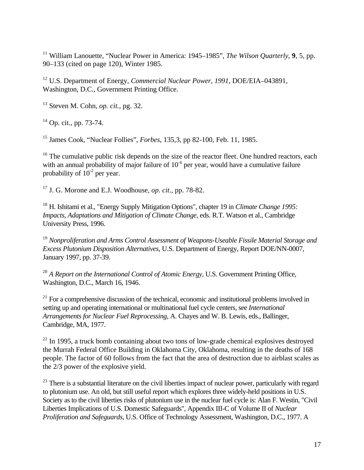<sup>11</sup> William Lanouette, "Nuclear Power in America: 1945–1985", *The Wilson Quarterly*, **9**, 5, pp. 90–133 (cited on page 120), Winter 1985.

<sup>12</sup> U.S. Department of Energy, *Commercial Nuclear Power, 1991*, DOE/EIA–043891, Washington, D.C., Government Printing Office.

<sup>13</sup> Steven M. Cohn, *op. cit.,* pg. 32.

 $14$  Op. cit., pp. 73-74.

<sup>15</sup> James Cook, "Nuclear Follies", *Forbes*, 135,3, pp 82-100, Feb. 11, 1985.

<sup>16</sup> The cumulative public risk depends on the size of the reactor fleet. One hundred reactors, each with an annual probability of major failure of  $10^{-4}$  per year, would have a cumulative failure probability of  $10^{-2}$  per year.

<sup>17</sup> J. G. Morone and E.J. Woodhouse, *op. cit*., pp. 78-82.

<sup>18</sup> H. Ishitami et al., "Energy Supply Mitigation Options", chapter 19 in *Climate Change 1995: Impacts, Adaptations and Mitigation of Climate Change*, eds. R.T. Watson et al., Cambridge University Press, 1996.

<sup>19</sup> *Nonproliferation and Arms Control Assessment of Weapons-Useable Fissile Material Storage and Excess Plutonium Disposition Alternatives*, U.S. Department of Energy, Report DOE/NN-0007, January 1997, pp. 37-39.

<sup>20</sup> *A Report on the International Control of Atomic Energy*, U.S. Government Printing Office, Washington, D.C., March 16, 1946.

 $21$  For a comprehensive discussion of the technical, economic and institutional problems involved in setting up and operating international or multinational fuel cycle centers, see *International Arrangements for Nuclear Fuel Reprocessing*, A. Chayes and W. B. Lewis, eds., Ballinger, Cambridge, MA, 1977.

 $22$  In 1995, a truck bomb containing about two tons of low-grade chemical explosives destroyed the Murrah Federal Office Building in Oklahoma City, Oklahoma, resulting in the deaths of 168 people. The factor of 60 follows from the fact that the area of destruction due to airblast scales as the 2/3 power of the explosive yield.

<sup>23</sup> There is a substantial literature on the civil liberties impact of nuclear power, particularly with regard to plutonium use. An old, but still useful report which explores three widely-held positions in U.S. Society as to the civil liberties risks of plutonium use in the nuclear fuel cycle is: Alan F. Westin, "Civil Liberties Implications of U.S. Domestic Safeguards", Appendix III-C of Volume II of *Nuclear Proliferation and Safeguards*, U.S. Office of Technology Assessment, Washington, D.C., 1977. A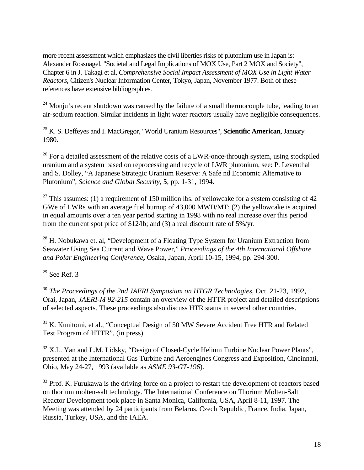more recent assessment which emphasizes the civil liberties risks of plutonium use in Japan is: Alexander Rossnagel, "Societal and Legal Implications of MOX Use, Part 2 MOX and Society", Chapter 6 in J. Takagi et al, *Comprehensive Social Impact Assessment of MOX Use in Light Water Reactors*, Citizen's Nuclear Information Center, Tokyo, Japan, November 1977. Both of these references have extensive bibliographies.

 $24$  Monju's recent shutdown was caused by the failure of a small thermocouple tube, leading to an air-sodium reaction. Similar incidents in light water reactors usually have negligible consequences.

<sup>25</sup> K. S. Deffeyes and I. MacGregor, "World Uranium Resources", **Scientific American**, January 1980.

<sup>26</sup> For a detailed assessment of the relative costs of a LWR-once-through system, using stockpiled uranium and a system based on reprocessing and recycle of LWR plutonium, see: P. Leventhal and S. Dolley, "A Japanese Strategic Uranium Reserve: A Safe nd Economic Alternative to Plutonium", *Science and Global Security*, **5**, pp. 1-31, 1994.

<sup>27</sup> This assumes: (1) a requirement of 150 million lbs. of yellowcake for a system consisting of 42 GWe of LWRs with an average fuel burnup of 43,000 MWD/MT; (2) the yellowcake is acquired in equal amounts over a ten year period starting in 1998 with no real increase over this period from the current spot price of \$12/lb; and (3) a real discount rate of 5%/yr.

<sup>28</sup> H. Nobukawa et. al, "Development of a Floating Type System for Uranium Extraction from Seawater Using Sea Current and Wave Power," *Proceedings of the 4th International Offshore and Polar Engineering Conference***,** Osaka, Japan, April 10-15, 1994, pp. 294-300.

 $29$  See Ref. 3

<sup>30</sup> *The Proceedings of the 2nd JAERI Symposium on HTGR Technologies*, Oct. 21-23, 1992, Orai, Japan, *JAERI-M 92-215* contain an overview of the HTTR project and detailed descriptions of selected aspects. These proceedings also discuss HTR status in several other countries.

<sup>31</sup> K. Kunitomi, et al., "Conceptual Design of 50 MW Severe Accident Free HTR and Related Test Program of HTTR", (in press).

<sup>32</sup> X.L. Yan and L.M. Lidsky, "Design of Closed-Cycle Helium Turbine Nuclear Power Plants", presented at the International Gas Turbine and Aeroengines Congress and Exposition, Cincinnati, Ohio, May 24-27, 1993 (available as *ASME 93-GT-196*).

<sup>33</sup> Prof. K. Furukawa is the driving force on a project to restart the development of reactors based on thorium molten-salt technology. The International Conference on Thorium Molten-Salt Reactor Development took place in Santa Monica, California, USA, April 8-11, 1997. The Meeting was attended by 24 participants from Belarus, Czech Republic, France, India, Japan, Russia, Turkey, USA, and the IAEA.